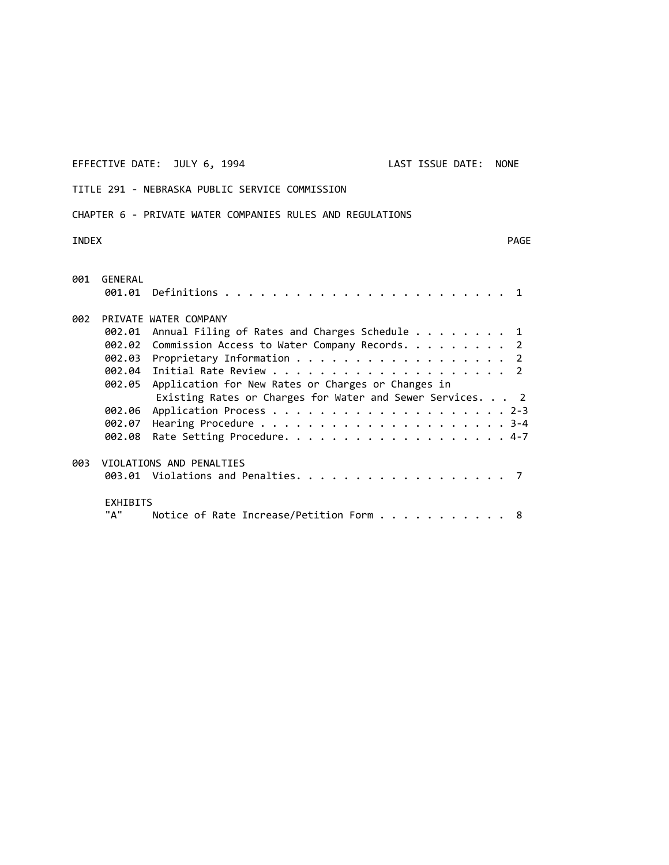EFFECTIVE DATE: JULY 6, 1994 LAST ISSUE DATE: NONE

TITLE 291 ‐ NEBRASKA PUBLIC SERVICE COMMISSION

# CHAPTER 6 ‐ PRIVATE WATER COMPANIES RULES AND REGULATIONS

INDEX PAGE

| 001 | GENERAL                  |                                                           |  |  |  |  |  |
|-----|--------------------------|-----------------------------------------------------------|--|--|--|--|--|
| 002 | PRIVATE WATER COMPANY    |                                                           |  |  |  |  |  |
|     | 002.01                   | Annual Filing of Rates and Charges Schedule 1             |  |  |  |  |  |
|     |                          | 002.02 Commission Access to Water Company Records. 2      |  |  |  |  |  |
|     |                          | 002.03 Proprietary Information 2                          |  |  |  |  |  |
|     |                          |                                                           |  |  |  |  |  |
|     | 002.05                   | Application for New Rates or Charges or Changes in        |  |  |  |  |  |
|     |                          | Existing Rates or Charges for Water and Sewer Services. 2 |  |  |  |  |  |
|     | 002.06                   |                                                           |  |  |  |  |  |
|     | 002.07                   |                                                           |  |  |  |  |  |
|     | 002.08                   |                                                           |  |  |  |  |  |
| 003 | VIOLATIONS AND PENALTIES |                                                           |  |  |  |  |  |
|     |                          |                                                           |  |  |  |  |  |
|     | <b>EXHIBITS</b>          |                                                           |  |  |  |  |  |
|     | "А"                      | Notice of Rate Increase/Petition Form 8                   |  |  |  |  |  |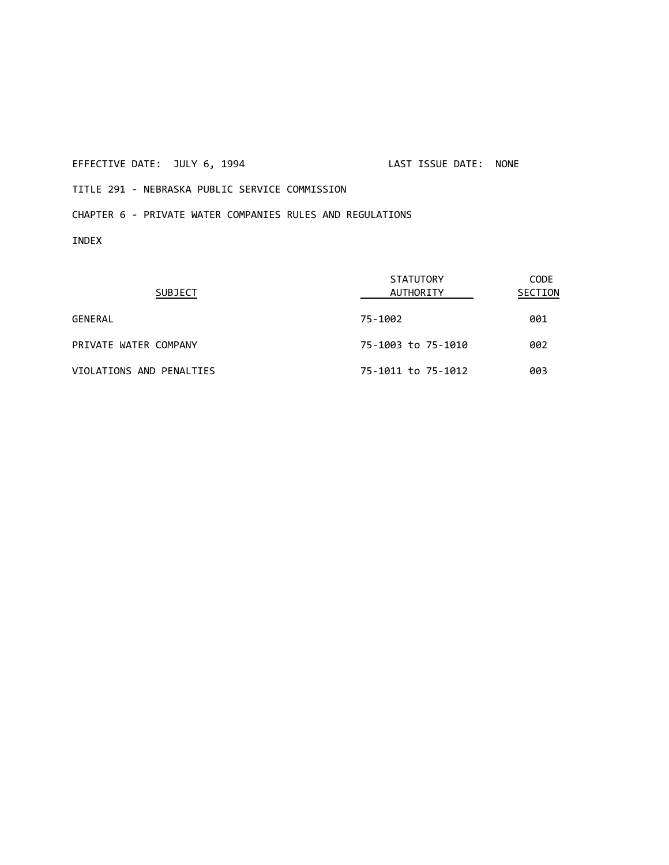# EFFECTIVE DATE: JULY 6, 1994 LAST ISSUE DATE: NONE

TITLE 291 ‐ NEBRASKA PUBLIC SERVICE COMMISSION

# CHAPTER 6 ‐ PRIVATE WATER COMPANIES RULES AND REGULATIONS

INDEX

| <b>SUBJECT</b>           | <b>STATUTORY</b><br>AUTHORITY | CODE<br>SECTION |  |
|--------------------------|-------------------------------|-----------------|--|
| GENERAL                  | 75-1002                       | 001             |  |
| PRIVATE WATER COMPANY    | 75-1003 to 75-1010            | 002             |  |
| VIOLATIONS AND PENALTIES | 75-1011 to 75-1012            | 003             |  |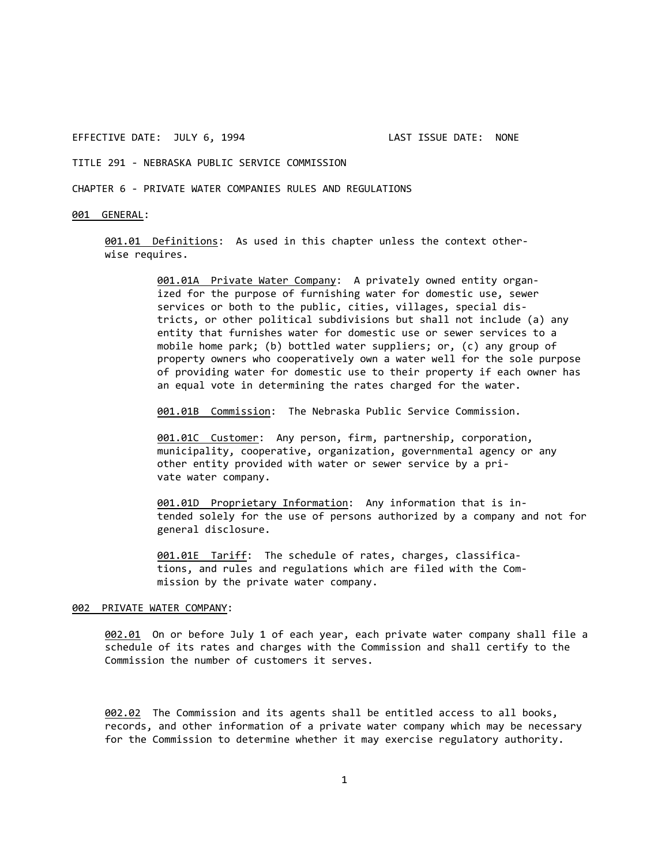TITLE 291 ‐ NEBRASKA PUBLIC SERVICE COMMISSION

CHAPTER 6 ‐ PRIVATE WATER COMPANIES RULES AND REGULATIONS

### 001 GENERAL:

001.01 Definitions: As used in this chapter unless the context other‐ wise requires.

> 001.01A Private Water Company: A privately owned entity organized for the purpose of furnishing water for domestic use, sewer services or both to the public, cities, villages, special districts, or other political subdivisions but shall not include (a) any entity that furnishes water for domestic use or sewer services to a mobile home park; (b) bottled water suppliers; or, (c) any group of property owners who cooperatively own a water well for the sole purpose of providing water for domestic use to their property if each owner has an equal vote in determining the rates charged for the water.

001.01B Commission: The Nebraska Public Service Commission.

001.01C Customer: Any person, firm, partnership, corporation, municipality, cooperative, organization, governmental agency or any other entity provided with water or sewer service by a pri‐ vate water company.

001.01D Proprietary Information: Any information that is intended solely for the use of persons authorized by a company and not for general disclosure.

001.01E Tariff: The schedule of rates, charges, classifications, and rules and regulations which are filed with the Com‐ mission by the private water company.

#### 002 PRIVATE WATER COMPANY:

002.01 On or before July 1 of each year, each private water company shall file a schedule of its rates and charges with the Commission and shall certify to the Commission the number of customers it serves.

002.02 The Commission and its agents shall be entitled access to all books, records, and other information of a private water company which may be necessary for the Commission to determine whether it may exercise regulatory authority.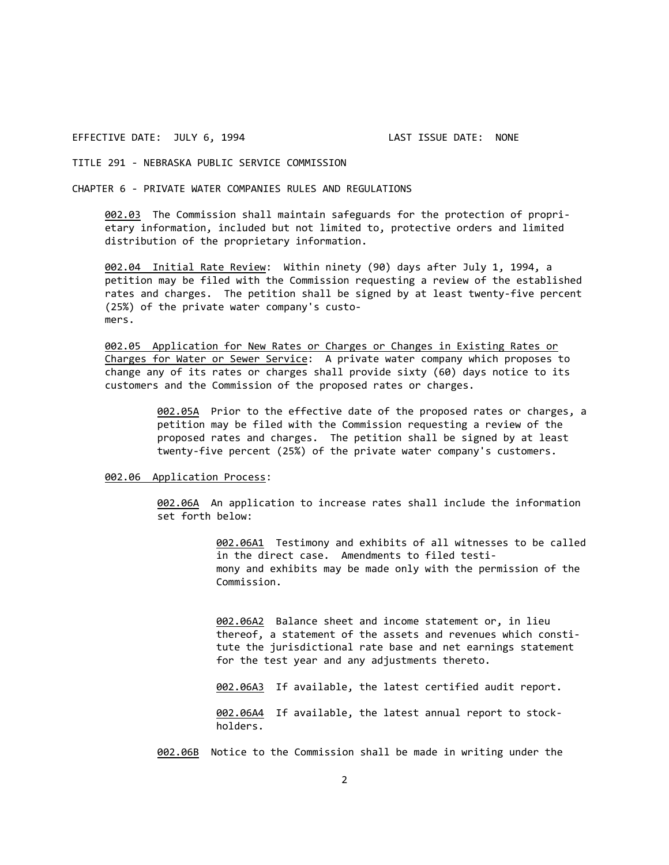TITLE 291 ‐ NEBRASKA PUBLIC SERVICE COMMISSION

CHAPTER 6 ‐ PRIVATE WATER COMPANIES RULES AND REGULATIONS

002.03 The Commission shall maintain safeguards for the protection of proprietary information, included but not limited to, protective orders and limited distribution of the proprietary information.

002.04 Initial Rate Review: Within ninety (90) days after July 1, 1994, a petition may be filed with the Commission requesting a review of the established rates and charges. The petition shall be signed by at least twenty-five percent (25%) of the private water company's custo‐ mers.

002.05 Application for New Rates or Charges or Changes in Existing Rates or Charges for Water or Sewer Service: A private water company which proposes to change any of its rates or charges shall provide sixty (60) days notice to its customers and the Commission of the proposed rates or charges.

> 002.05A Prior to the effective date of the proposed rates or charges, a petition may be filed with the Commission requesting a review of the proposed rates and charges. The petition shall be signed by at least twenty‐five percent (25%) of the private water company's customers.

002.06 Application Process:

002.06A An application to increase rates shall include the information set forth below:

> 002.06A1 Testimony and exhibits of all witnesses to be called in the direct case. Amendments to filed testi‐ mony and exhibits may be made only with the permission of the Commission.

002.06A2 Balance sheet and income statement or, in lieu thereof, a statement of the assets and revenues which consti‐ tute the jurisdictional rate base and net earnings statement for the test year and any adjustments thereto.

002.06A3 If available, the latest certified audit report.

002.06A4 If available, the latest annual report to stockholders.

002.06B Notice to the Commission shall be made in writing under the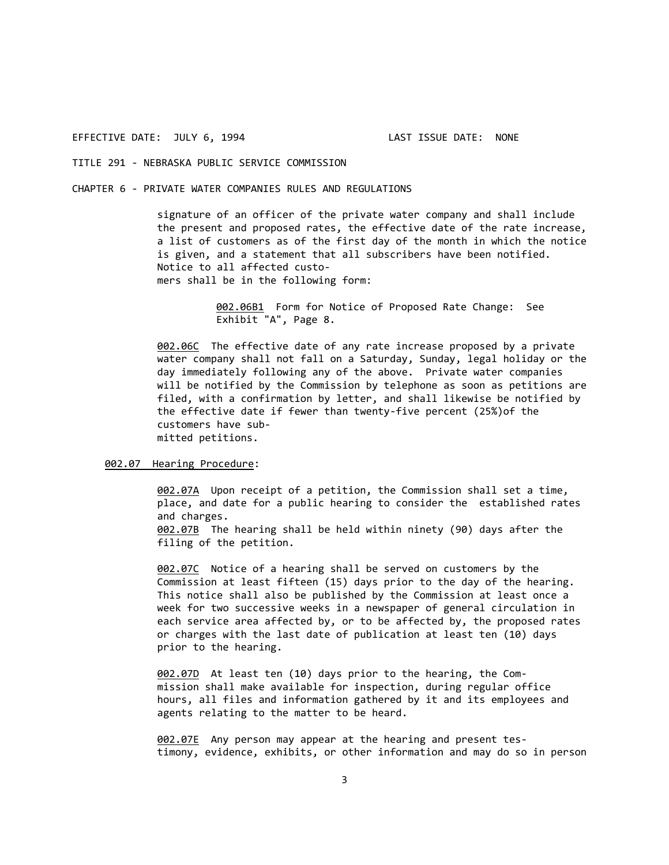# TITLE 291 ‐ NEBRASKA PUBLIC SERVICE COMMISSION

#### CHAPTER 6 ‐ PRIVATE WATER COMPANIES RULES AND REGULATIONS

signature of an officer of the private water company and shall include the present and proposed rates, the effective date of the rate increase, a list of customers as of the first day of the month in which the notice is given, and a statement that all subscribers have been notified. Notice to all affected custo‐

mers shall be in the following form:

002.06B1 Form for Notice of Proposed Rate Change: See Exhibit "A", Page 8.

002.06C The effective date of any rate increase proposed by a private water company shall not fall on a Saturday, Sunday, legal holiday or the day immediately following any of the above. Private water companies will be notified by the Commission by telephone as soon as petitions are filed, with a confirmation by letter, and shall likewise be notified by the effective date if fewer than twenty‐five percent (25%)of the customers have sub‐ mitted petitions.

#### 002.07 Hearing Procedure:

002.07A Upon receipt of a petition, the Commission shall set a time, place, and date for a public hearing to consider the established rates and charges. 002.07B The hearing shall be held within ninety (90) days after the

filing of the petition.

002.07C Notice of a hearing shall be served on customers by the Commission at least fifteen (15) days prior to the day of the hearing. This notice shall also be published by the Commission at least once a week for two successive weeks in a newspaper of general circulation in each service area affected by, or to be affected by, the proposed rates or charges with the last date of publication at least ten (10) days prior to the hearing.

002.07D At least ten (10) days prior to the hearing, the Com‐ mission shall make available for inspection, during regular office hours, all files and information gathered by it and its employees and agents relating to the matter to be heard.

002.07E Any person may appear at the hearing and present testimony, evidence, exhibits, or other information and may do so in person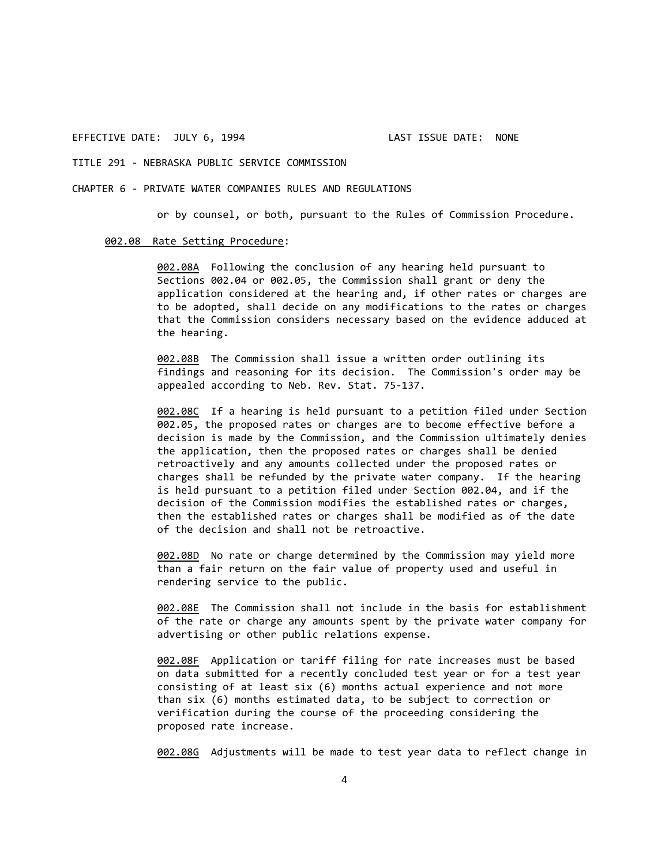# TITLE 291 ‐ NEBRASKA PUBLIC SERVICE COMMISSION

#### CHAPTER 6 ‐ PRIVATE WATER COMPANIES RULES AND REGULATIONS

or by counsel, or both, pursuant to the Rules of Commission Procedure.

#### 002.08 Rate Setting Procedure:

002.08A Following the conclusion of any hearing held pursuant to Sections 002.04 or 002.05, the Commission shall grant or deny the application considered at the hearing and, if other rates or charges are to be adopted, shall decide on any modifications to the rates or charges that the Commission considers necessary based on the evidence adduced at the hearing.

002.08B The Commission shall issue a written order outlining its findings and reasoning for its decision. The Commission's order may be appealed according to Neb. Rev. Stat. 75‐137.

002.08C If a hearing is held pursuant to a petition filed under Section 002.05, the proposed rates or charges are to become effective before a decision is made by the Commission, and the Commission ultimately denies the application, then the proposed rates or charges shall be denied retroactively and any amounts collected under the proposed rates or charges shall be refunded by the private water company. If the hearing is held pursuant to a petition filed under Section 002.04, and if the decision of the Commission modifies the established rates or charges, then the established rates or charges shall be modified as of the date of the decision and shall not be retroactive.

002.08D No rate or charge determined by the Commission may yield more than a fair return on the fair value of property used and useful in rendering service to the public.

002.08E The Commission shall not include in the basis for establishment of the rate or charge any amounts spent by the private water company for advertising or other public relations expense.

002.08F Application or tariff filing for rate increases must be based on data submitted for a recently concluded test year or for a test year consisting of at least six (6) months actual experience and not more than six (6) months estimated data, to be subject to correction or verification during the course of the proceeding considering the proposed rate increase.

002.08G Adjustments will be made to test year data to reflect change in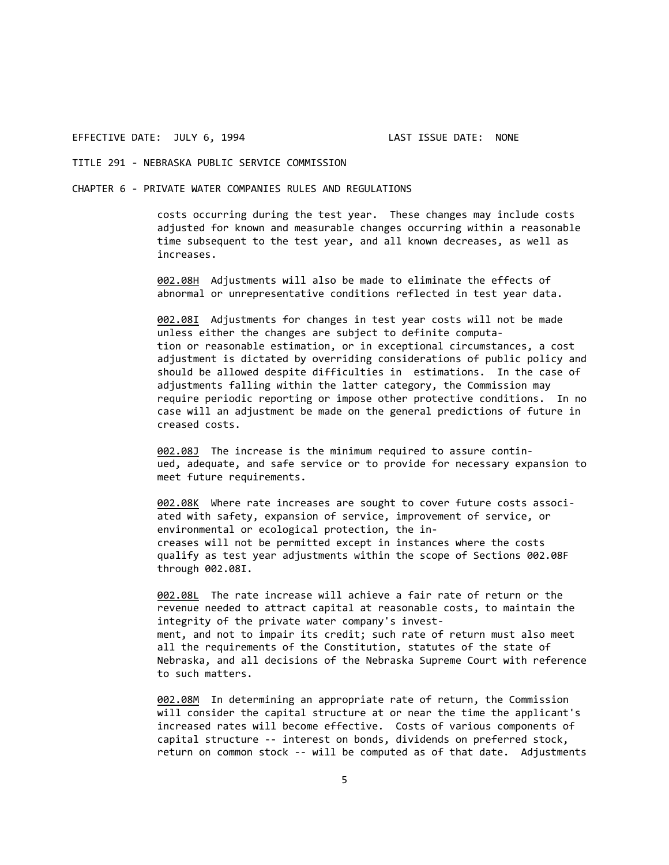# TITLE 291 ‐ NEBRASKA PUBLIC SERVICE COMMISSION

#### CHAPTER 6 ‐ PRIVATE WATER COMPANIES RULES AND REGULATIONS

costs occurring during the test year. These changes may include costs adjusted for known and measurable changes occurring within a reasonable time subsequent to the test year, and all known decreases, as well as increases.

002.08H Adjustments will also be made to eliminate the effects of abnormal or unrepresentative conditions reflected in test year data.

002.08I Adjustments for changes in test year costs will not be made unless either the changes are subject to definite computa‐ tion or reasonable estimation, or in exceptional circumstances, a cost adjustment is dictated by overriding considerations of public policy and should be allowed despite difficulties in estimations. In the case of adjustments falling within the latter category, the Commission may require periodic reporting or impose other protective conditions. In no case will an adjustment be made on the general predictions of future in creased costs.

002.08J The increase is the minimum required to assure continued, adequate, and safe service or to provide for necessary expansion to meet future requirements.

002.08K Where rate increases are sought to cover future costs associated with safety, expansion of service, improvement of service, or environmental or ecological protection, the in‐ creases will not be permitted except in instances where the costs qualify as test year adjustments within the scope of Sections 002.08F through 002.08I.

002.08L The rate increase will achieve a fair rate of return or the revenue needed to attract capital at reasonable costs, to maintain the integrity of the private water company's invest‐ ment, and not to impair its credit; such rate of return must also meet all the requirements of the Constitution, statutes of the state of Nebraska, and all decisions of the Nebraska Supreme Court with reference to such matters.

002.08M In determining an appropriate rate of return, the Commission will consider the capital structure at or near the time the applicant's increased rates will become effective. Costs of various components of capital structure ‐‐ interest on bonds, dividends on preferred stock, return on common stock ‐‐ will be computed as of that date. Adjustments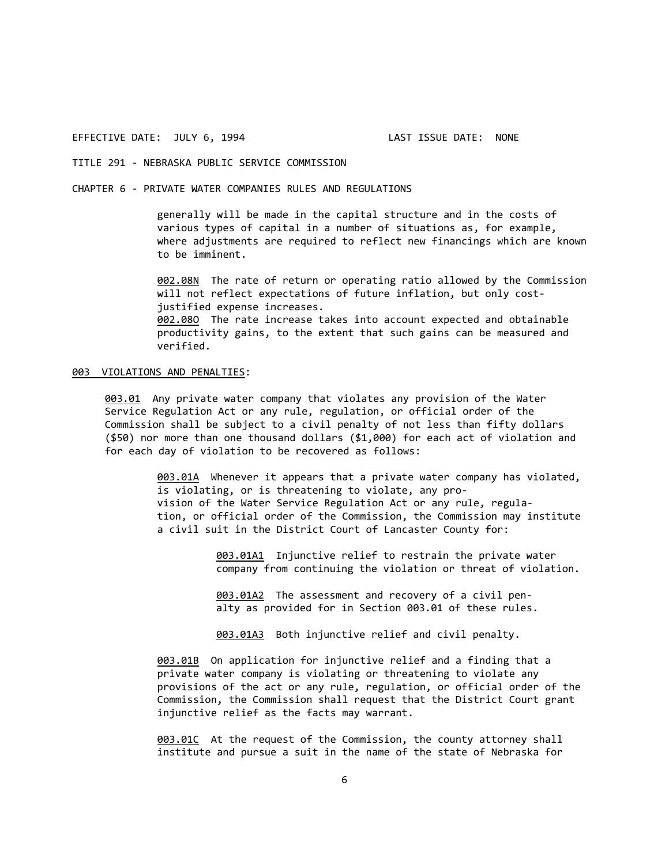# TITLE 291 ‐ NEBRASKA PUBLIC SERVICE COMMISSION

CHAPTER 6 ‐ PRIVATE WATER COMPANIES RULES AND REGULATIONS

generally will be made in the capital structure and in the costs of various types of capital in a number of situations as, for example, where adjustments are required to reflect new financings which are known to be imminent.

002.08N The rate of return or operating ratio allowed by the Commission will not reflect expectations of future inflation, but only cost‐ justified expense increases. 002.08O The rate increase takes into account expected and obtainable productivity gains, to the extent that such gains can be measured and verified.

# 003 VIOLATIONS AND PENALTIES:

003.01 Any private water company that violates any provision of the Water Service Regulation Act or any rule, regulation, or official order of the Commission shall be subject to a civil penalty of not less than fifty dollars (\$50) nor more than one thousand dollars (\$1,000) for each act of violation and for each day of violation to be recovered as follows:

> 003.01A Whenever it appears that a private water company has violated, is violating, or is threatening to violate, any pro‐ vision of the Water Service Regulation Act or any rule, regula‐ tion, or official order of the Commission, the Commission may institute a civil suit in the District Court of Lancaster County for:

> > 003.01A1 Injunctive relief to restrain the private water company from continuing the violation or threat of violation.

003.01A2 The assessment and recovery of a civil penalty as provided for in Section 003.01 of these rules.

003.01A3 Both injunctive relief and civil penalty.

003.01B On application for injunctive relief and a finding that a private water company is violating or threatening to violate any provisions of the act or any rule, regulation, or official order of the Commission, the Commission shall request that the District Court grant injunctive relief as the facts may warrant.

003.01C At the request of the Commission, the county attorney shall institute and pursue a suit in the name of the state of Nebraska for